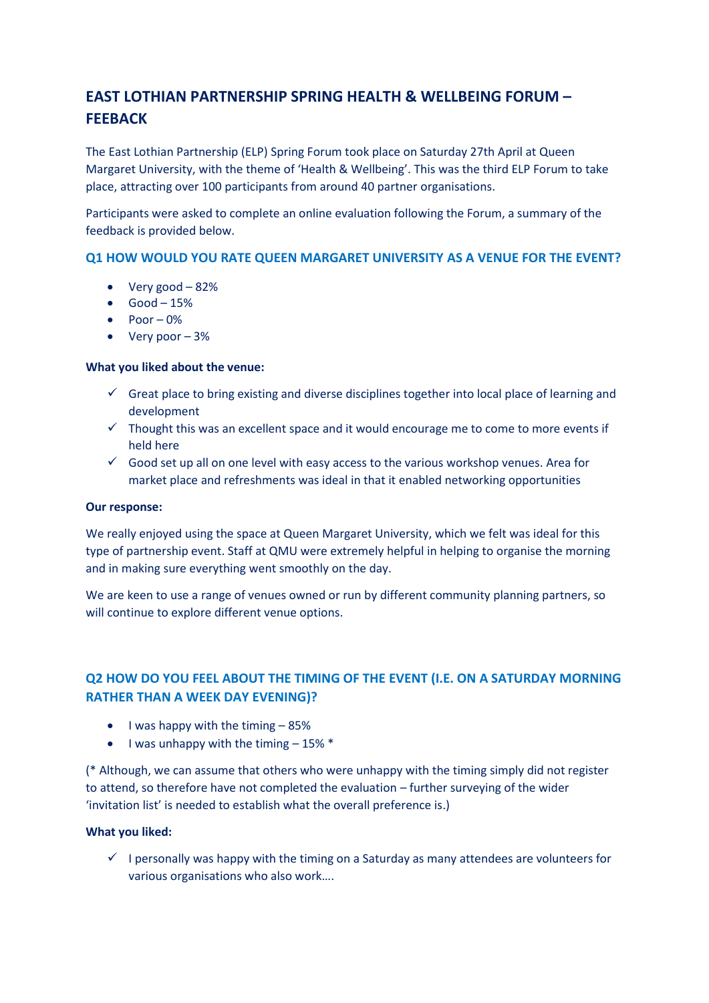# **EAST LOTHIAN PARTNERSHIP SPRING HEALTH & WELLBEING FORUM – FEEBACK**

The East Lothian Partnership (ELP) Spring Forum took place on Saturday 27th April at Queen Margaret University, with the theme of 'Health & Wellbeing'. This was the third ELP Forum to take place, attracting over 100 participants from around 40 partner organisations.

Participants were asked to complete an online evaluation following the Forum, a summary of the feedback is provided below.

# **Q1 HOW WOULD YOU RATE QUEEN MARGARET UNIVERSITY AS A VENUE FOR THE EVENT?**

- $\bullet$  Very good  $-82\%$
- $\bullet$  Good 15%
- $\bullet$  Poor 0%
- $\bullet$  Very poor  $-3\%$

#### **What you liked about the venue:**

- $\checkmark$  Great place to bring existing and diverse disciplines together into local place of learning and development
- $\checkmark$  Thought this was an excellent space and it would encourage me to come to more events if held here
- $\checkmark$  Good set up all on one level with easy access to the various workshop venues. Area for market place and refreshments was ideal in that it enabled networking opportunities

#### **Our response:**

We really enjoyed using the space at Queen Margaret University, which we felt was ideal for this type of partnership event. Staff at QMU were extremely helpful in helping to organise the morning and in making sure everything went smoothly on the day.

We are keen to use a range of venues owned or run by different community planning partners, so will continue to explore different venue options.

# **Q2 HOW DO YOU FEEL ABOUT THE TIMING OF THE EVENT (I.E. ON A SATURDAY MORNING RATHER THAN A WEEK DAY EVENING)?**

- $\bullet$  I was happy with the timing  $-85\%$
- $\bullet$  I was unhappy with the timing  $-15\%$  \*

(\* Although, we can assume that others who were unhappy with the timing simply did not register to attend, so therefore have not completed the evaluation – further surveying of the wider 'invitation list' is needed to establish what the overall preference is.)

#### **What you liked:**

 $\checkmark$  I personally was happy with the timing on a Saturday as many attendees are volunteers for various organisations who also work….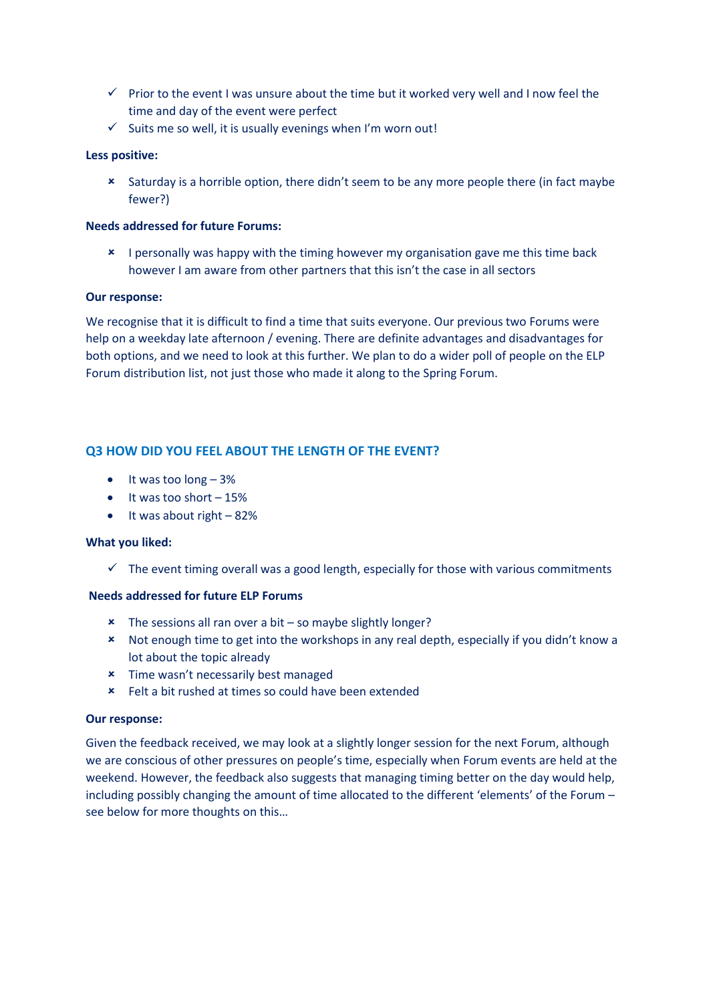- $\checkmark$  Prior to the event I was unsure about the time but it worked very well and I now feel the time and day of the event were perfect
- $\checkmark$  Suits me so well, it is usually evenings when I'm worn out!

### **Less positive:**

 Saturday is a horrible option, there didn't seem to be any more people there (in fact maybe fewer?)

## **Needs addressed for future Forums:**

**\*** I personally was happy with the timing however my organisation gave me this time back however I am aware from other partners that this isn't the case in all sectors

#### **Our response:**

We recognise that it is difficult to find a time that suits everyone. Our previous two Forums were help on a weekday late afternoon / evening. There are definite advantages and disadvantages for both options, and we need to look at this further. We plan to do a wider poll of people on the ELP Forum distribution list, not just those who made it along to the Spring Forum.

# **Q3 HOW DID YOU FEEL ABOUT THE LENGTH OF THE EVENT?**

- $\bullet$  It was too long  $-3\%$
- $\bullet$  It was too short  $-15%$
- $\bullet$  It was about right 82%

#### **What you liked:**

 $\checkmark$  The event timing overall was a good length, especially for those with various commitments

#### **Needs addressed for future ELP Forums**

- $\star$  The sessions all ran over a bit so maybe slightly longer?
- Not enough time to get into the workshops in any real depth, especially if you didn't know a lot about the topic already
- **\*** Time wasn't necessarily best managed
- Felt a bit rushed at times so could have been extended

#### **Our response:**

Given the feedback received, we may look at a slightly longer session for the next Forum, although we are conscious of other pressures on people's time, especially when Forum events are held at the weekend. However, the feedback also suggests that managing timing better on the day would help, including possibly changing the amount of time allocated to the different 'elements' of the Forum – see below for more thoughts on this…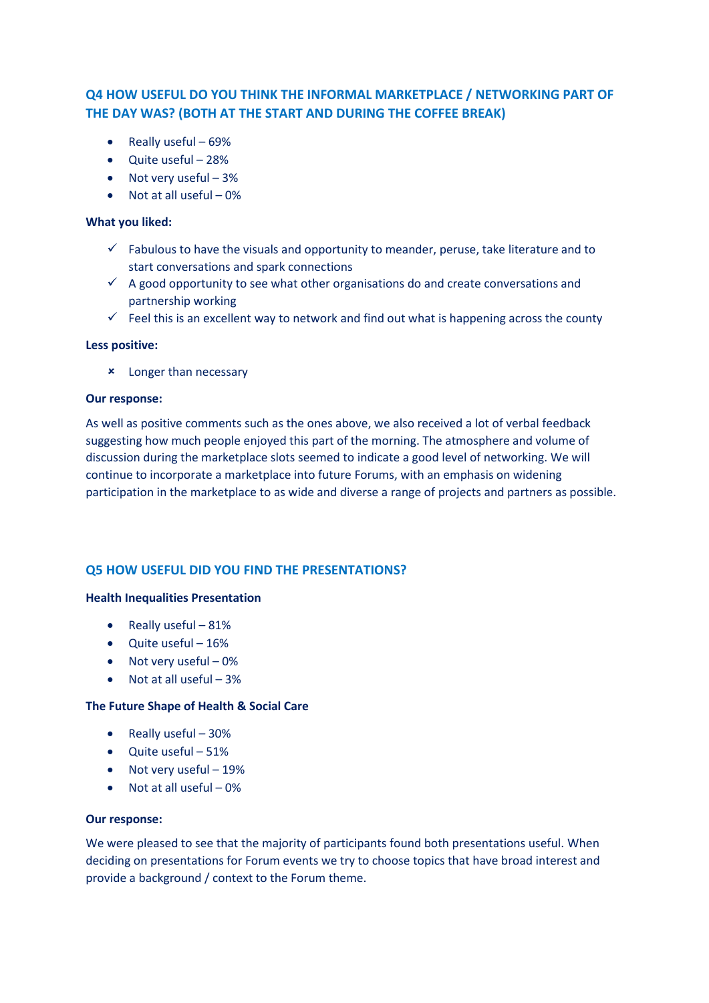# **Q4 HOW USEFUL DO YOU THINK THE INFORMAL MARKETPLACE / NETWORKING PART OF THE DAY WAS? (BOTH AT THE START AND DURING THE COFFEE BREAK)**

- $\bullet$  Really useful 69%
- Quite useful 28%
- Not very useful 3%
- $\bullet$  Not at all useful  $-0\%$

#### **What you liked:**

- $\checkmark$  Fabulous to have the visuals and opportunity to meander, peruse, take literature and to start conversations and spark connections
- $\checkmark$  A good opportunity to see what other organisations do and create conversations and partnership working
- $\checkmark$  Feel this is an excellent way to network and find out what is happening across the county

#### **Less positive:**

Longer than necessary

#### **Our response:**

As well as positive comments such as the ones above, we also received a lot of verbal feedback suggesting how much people enjoyed this part of the morning. The atmosphere and volume of discussion during the marketplace slots seemed to indicate a good level of networking. We will continue to incorporate a marketplace into future Forums, with an emphasis on widening participation in the marketplace to as wide and diverse a range of projects and partners as possible.

# **Q5 HOW USEFUL DID YOU FIND THE PRESENTATIONS?**

#### **Health Inequalities Presentation**

- $\bullet$  Really useful 81%
- Quite useful 16%
- $\bullet$  Not very useful 0%
- $\bullet$  Not at all useful  $-3\%$

#### **The Future Shape of Health & Social Care**

- $\bullet$  Really useful 30%
- $\bullet$  Ouite useful 51%
- Not very useful 19%
- $\bullet$  Not at all useful  $-0\%$

#### **Our response:**

We were pleased to see that the majority of participants found both presentations useful. When deciding on presentations for Forum events we try to choose topics that have broad interest and provide a background / context to the Forum theme.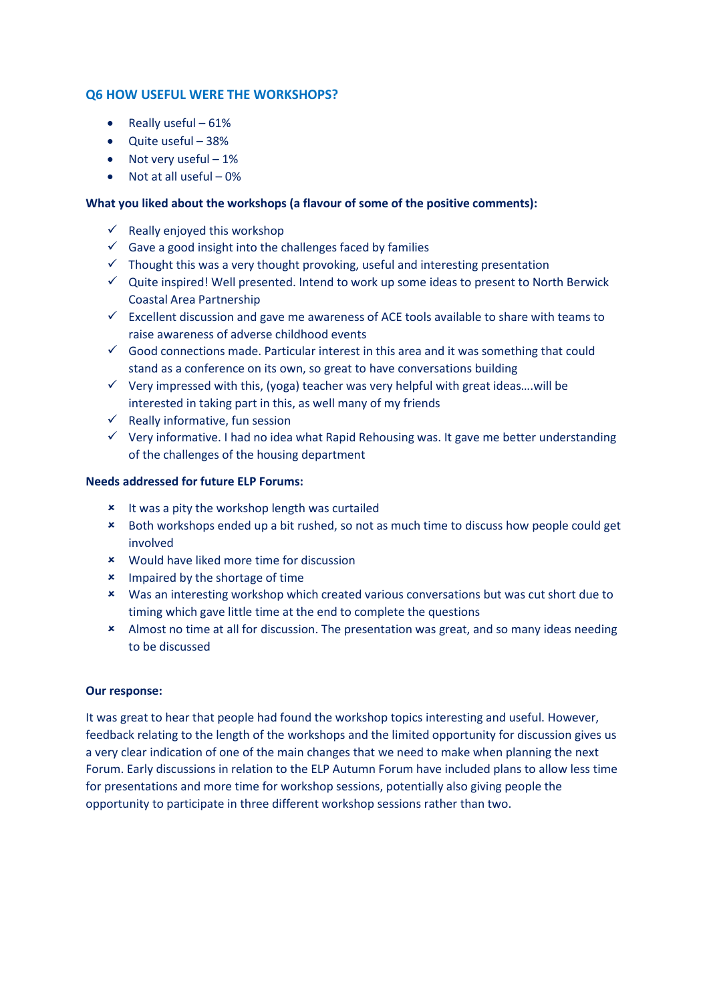# **Q6 HOW USEFUL WERE THE WORKSHOPS?**

- Really useful  $-61%$
- Quite useful 38%
- Not very useful  $-1\%$
- $\bullet$  Not at all useful  $-0\%$

## **What you liked about the workshops (a flavour of some of the positive comments):**

- $\checkmark$  Really enjoyed this workshop
- $\checkmark$  Gave a good insight into the challenges faced by families
- $\checkmark$  Thought this was a very thought provoking, useful and interesting presentation
- $\checkmark$  Quite inspired! Well presented. Intend to work up some ideas to present to North Berwick Coastal Area Partnership
- $\checkmark$  Excellent discussion and gave me awareness of ACE tools available to share with teams to raise awareness of adverse childhood events
- $\checkmark$  Good connections made. Particular interest in this area and it was something that could stand as a conference on its own, so great to have conversations building
- $\checkmark$  Very impressed with this, (yoga) teacher was very helpful with great ideas....will be interested in taking part in this, as well many of my friends
- $\checkmark$  Really informative, fun session
- $\checkmark$  Very informative. I had no idea what Rapid Rehousing was. It gave me better understanding of the challenges of the housing department

#### **Needs addressed for future ELP Forums:**

- **\*** It was a pity the workshop length was curtailed
- \* Both workshops ended up a bit rushed, so not as much time to discuss how people could get involved
- Would have liked more time for discussion
- **\*** Impaired by the shortage of time
- Was an interesting workshop which created various conversations but was cut short due to timing which gave little time at the end to complete the questions
- Almost no time at all for discussion. The presentation was great, and so many ideas needing to be discussed

#### **Our response:**

It was great to hear that people had found the workshop topics interesting and useful. However, feedback relating to the length of the workshops and the limited opportunity for discussion gives us a very clear indication of one of the main changes that we need to make when planning the next Forum. Early discussions in relation to the ELP Autumn Forum have included plans to allow less time for presentations and more time for workshop sessions, potentially also giving people the opportunity to participate in three different workshop sessions rather than two.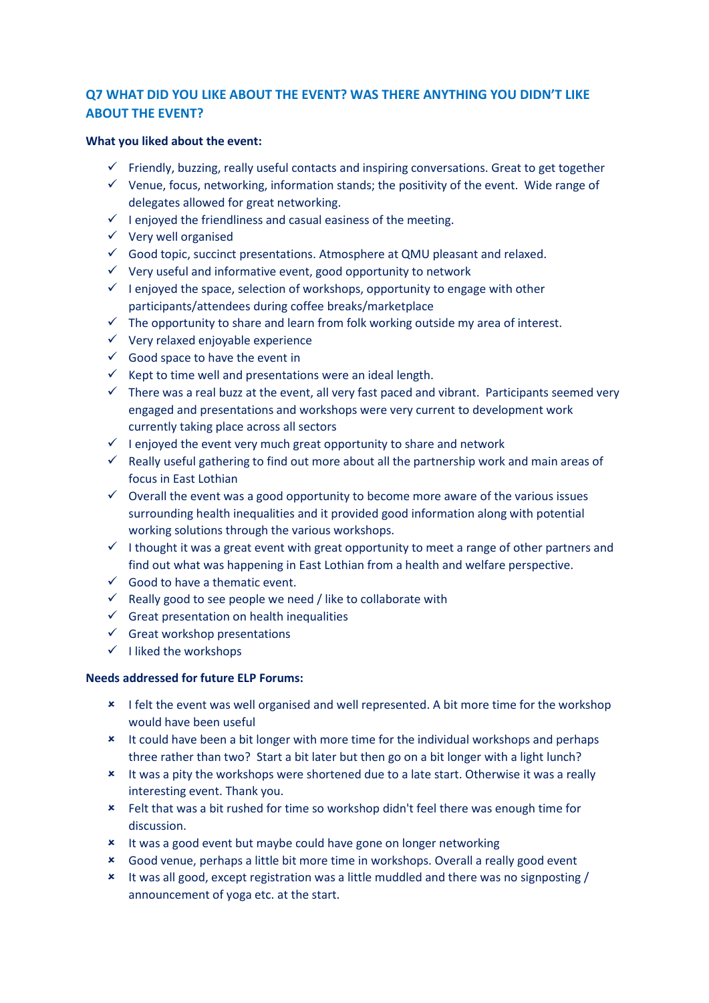# **Q7 WHAT DID YOU LIKE ABOUT THE EVENT? WAS THERE ANYTHING YOU DIDN'T LIKE ABOUT THE EVENT?**

#### **What you liked about the event:**

- $\checkmark$  Friendly, buzzing, really useful contacts and inspiring conversations. Great to get together
- $\checkmark$  Venue, focus, networking, information stands; the positivity of the event. Wide range of delegates allowed for great networking.
- $\checkmark$  I enjoyed the friendliness and casual easiness of the meeting.
- $\checkmark$  Very well organised
- $\checkmark$  Good topic, succinct presentations. Atmosphere at QMU pleasant and relaxed.
- $\checkmark$  Very useful and informative event, good opportunity to network
- $\checkmark$  I enjoyed the space, selection of workshops, opportunity to engage with other participants/attendees during coffee breaks/marketplace
- $\checkmark$  The opportunity to share and learn from folk working outside my area of interest.
- $\checkmark$  Very relaxed enjoyable experience
- $\checkmark$  Good space to have the event in
- Kept to time well and presentations were an ideal length.
- $\checkmark$  There was a real buzz at the event, all very fast paced and vibrant. Participants seemed very engaged and presentations and workshops were very current to development work currently taking place across all sectors
- $\checkmark$  I enjoyed the event very much great opportunity to share and network
- $\checkmark$  Really useful gathering to find out more about all the partnership work and main areas of focus in East Lothian
- $\checkmark$  Overall the event was a good opportunity to become more aware of the various issues surrounding health inequalities and it provided good information along with potential working solutions through the various workshops.
- I thought it was a great event with great opportunity to meet a range of other partners and find out what was happening in East Lothian from a health and welfare perspective.
- $\checkmark$  Good to have a thematic event.
- $\checkmark$  Really good to see people we need / like to collaborate with
- $\checkmark$  Great presentation on health inequalities
- $\checkmark$  Great workshop presentations
- $\checkmark$  I liked the workshops

#### **Needs addressed for future ELP Forums:**

- **\*** I felt the event was well organised and well represented. A bit more time for the workshop would have been useful
- **\*** It could have been a bit longer with more time for the individual workshops and perhaps three rather than two? Start a bit later but then go on a bit longer with a light lunch?
- \* It was a pity the workshops were shortened due to a late start. Otherwise it was a really interesting event. Thank you.
- Felt that was a bit rushed for time so workshop didn't feel there was enough time for discussion.
- It was a good event but maybe could have gone on longer networking
- Good venue, perhaps a little bit more time in workshops. Overall a really good event
- It was all good, except registration was a little muddled and there was no signposting / announcement of yoga etc. at the start.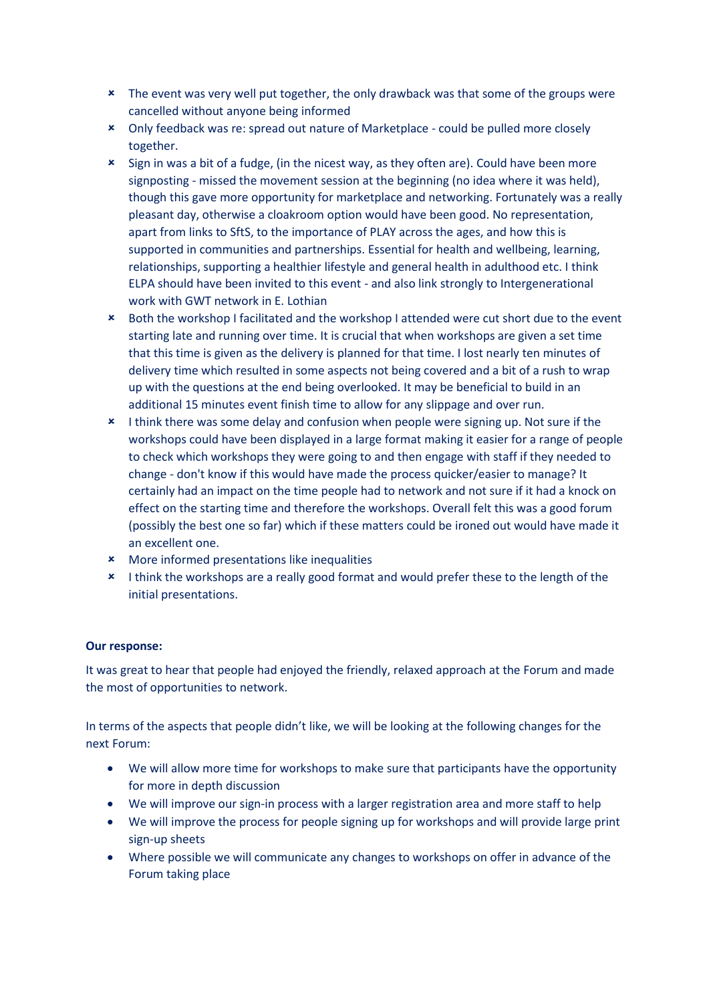- \* The event was very well put together, the only drawback was that some of the groups were cancelled without anyone being informed
- Only feedback was re: spread out nature of Marketplace could be pulled more closely together.
- Sign in was a bit of a fudge, (in the nicest way, as they often are). Could have been more signposting - missed the movement session at the beginning (no idea where it was held), though this gave more opportunity for marketplace and networking. Fortunately was a really pleasant day, otherwise a cloakroom option would have been good. No representation, apart from links to SftS, to the importance of PLAY across the ages, and how this is supported in communities and partnerships. Essential for health and wellbeing, learning, relationships, supporting a healthier lifestyle and general health in adulthood etc. I think ELPA should have been invited to this event - and also link strongly to Intergenerational work with GWT network in E. Lothian
- Both the workshop I facilitated and the workshop I attended were cut short due to the event starting late and running over time. It is crucial that when workshops are given a set time that this time is given as the delivery is planned for that time. I lost nearly ten minutes of delivery time which resulted in some aspects not being covered and a bit of a rush to wrap up with the questions at the end being overlooked. It may be beneficial to build in an additional 15 minutes event finish time to allow for any slippage and over run.
- \* I think there was some delay and confusion when people were signing up. Not sure if the workshops could have been displayed in a large format making it easier for a range of people to check which workshops they were going to and then engage with staff if they needed to change - don't know if this would have made the process quicker/easier to manage? It certainly had an impact on the time people had to network and not sure if it had a knock on effect on the starting time and therefore the workshops. Overall felt this was a good forum (possibly the best one so far) which if these matters could be ironed out would have made it an excellent one.
- More informed presentations like inequalities
- **\*** I think the workshops are a really good format and would prefer these to the length of the initial presentations.

#### **Our response:**

It was great to hear that people had enjoyed the friendly, relaxed approach at the Forum and made the most of opportunities to network.

In terms of the aspects that people didn't like, we will be looking at the following changes for the next Forum:

- We will allow more time for workshops to make sure that participants have the opportunity for more in depth discussion
- We will improve our sign-in process with a larger registration area and more staff to help
- We will improve the process for people signing up for workshops and will provide large print sign-up sheets
- Where possible we will communicate any changes to workshops on offer in advance of the Forum taking place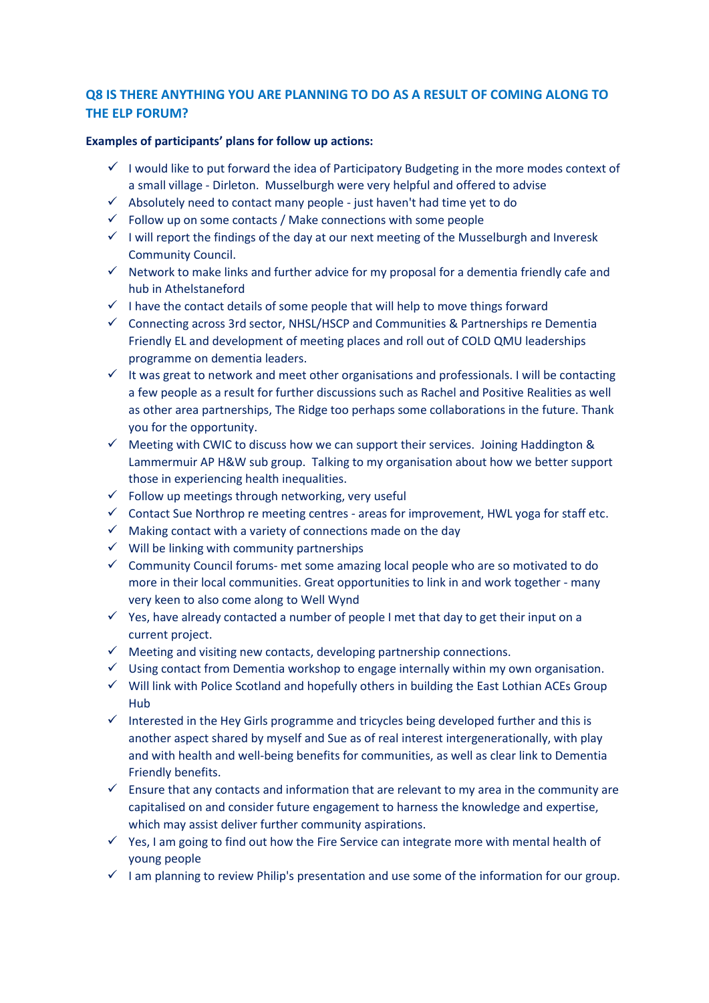# **Q8 IS THERE ANYTHING YOU ARE PLANNING TO DO AS A RESULT OF COMING ALONG TO THE ELP FORUM?**

### **Examples of participants' plans for follow up actions:**

- $\checkmark$  I would like to put forward the idea of Participatory Budgeting in the more modes context of a small village - Dirleton. Musselburgh were very helpful and offered to advise
- $\checkmark$  Absolutely need to contact many people just haven't had time yet to do
- $\checkmark$  Follow up on some contacts / Make connections with some people
- $\checkmark$  I will report the findings of the day at our next meeting of the Musselburgh and Inveresk Community Council.
- $\checkmark$  Network to make links and further advice for my proposal for a dementia friendly cafe and hub in Athelstaneford
- $\checkmark$  I have the contact details of some people that will help to move things forward
- $\checkmark$  Connecting across 3rd sector, NHSL/HSCP and Communities & Partnerships re Dementia Friendly EL and development of meeting places and roll out of COLD QMU leaderships programme on dementia leaders.
- $\checkmark$  It was great to network and meet other organisations and professionals. I will be contacting a few people as a result for further discussions such as Rachel and Positive Realities as well as other area partnerships, The Ridge too perhaps some collaborations in the future. Thank you for the opportunity.
- $\checkmark$  Meeting with CWIC to discuss how we can support their services. Joining Haddington & Lammermuir AP H&W sub group. Talking to my organisation about how we better support those in experiencing health inequalities.
- $\checkmark$  Follow up meetings through networking, very useful
- $\checkmark$  Contact Sue Northrop re meeting centres areas for improvement, HWL yoga for staff etc.
- $\checkmark$  Making contact with a variety of connections made on the day
- $\checkmark$  Will be linking with community partnerships
- $\checkmark$  Community Council forums- met some amazing local people who are so motivated to do more in their local communities. Great opportunities to link in and work together - many very keen to also come along to Well Wynd
- $\checkmark$  Yes, have already contacted a number of people I met that day to get their input on a current project.
- $\checkmark$  Meeting and visiting new contacts, developing partnership connections.
- $\checkmark$  Using contact from Dementia workshop to engage internally within my own organisation.
- $\checkmark$  Will link with Police Scotland and hopefully others in building the East Lothian ACEs Group Hub
- $\checkmark$  Interested in the Hey Girls programme and tricycles being developed further and this is another aspect shared by myself and Sue as of real interest intergenerationally, with play and with health and well-being benefits for communities, as well as clear link to Dementia Friendly benefits.
- $\checkmark$  Ensure that any contacts and information that are relevant to my area in the community are capitalised on and consider future engagement to harness the knowledge and expertise, which may assist deliver further community aspirations.
- $\checkmark$  Yes, I am going to find out how the Fire Service can integrate more with mental health of young people
- $\checkmark$  I am planning to review Philip's presentation and use some of the information for our group.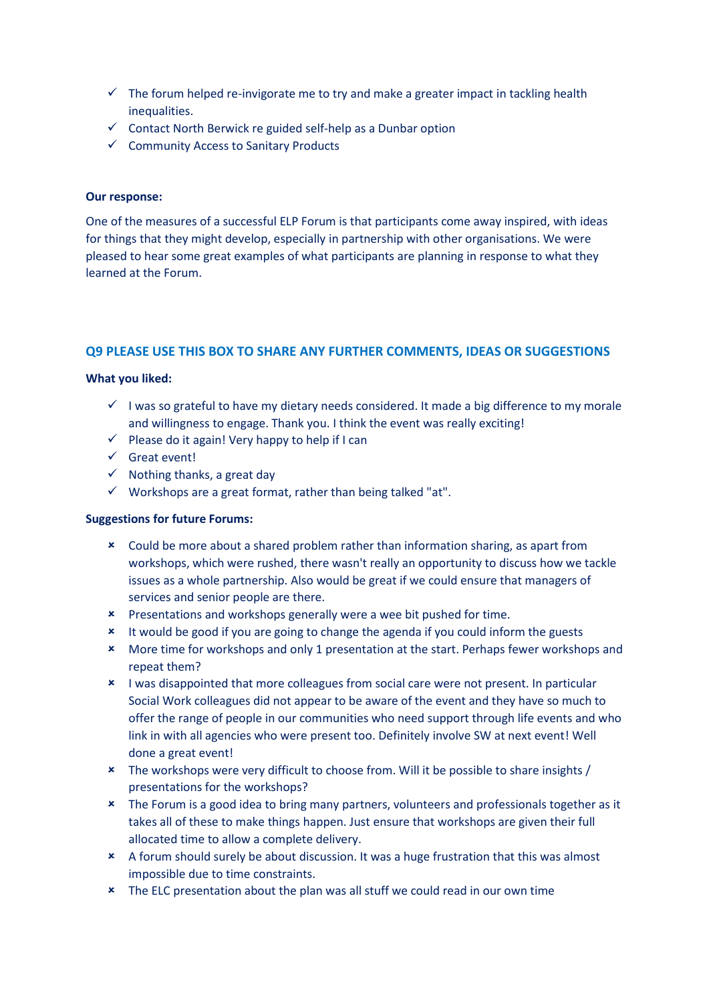- $\checkmark$  The forum helped re-invigorate me to try and make a greater impact in tackling health inequalities.
- $\checkmark$  Contact North Berwick re guided self-help as a Dunbar option
- $\checkmark$  Community Access to Sanitary Products

#### **Our response:**

One of the measures of a successful ELP Forum is that participants come away inspired, with ideas for things that they might develop, especially in partnership with other organisations. We were pleased to hear some great examples of what participants are planning in response to what they learned at the Forum.

## **Q9 PLEASE USE THIS BOX TO SHARE ANY FURTHER COMMENTS, IDEAS OR SUGGESTIONS**

#### **What you liked:**

- $\checkmark$  I was so grateful to have my dietary needs considered. It made a big difference to my morale and willingness to engage. Thank you. I think the event was really exciting!
- $\checkmark$  Please do it again! Very happy to help if I can
- $\checkmark$  Great event!
- $\checkmark$  Nothing thanks, a great day
- $\checkmark$  Workshops are a great format, rather than being talked "at".

#### **Suggestions for future Forums:**

- Could be more about a shared problem rather than information sharing, as apart from workshops, which were rushed, there wasn't really an opportunity to discuss how we tackle issues as a whole partnership. Also would be great if we could ensure that managers of services and senior people are there.
- **\*** Presentations and workshops generally were a wee bit pushed for time.
- \* It would be good if you are going to change the agenda if you could inform the guests
- \* More time for workshops and only 1 presentation at the start. Perhaps fewer workshops and repeat them?
- I was disappointed that more colleagues from social care were not present. In particular Social Work colleagues did not appear to be aware of the event and they have so much to offer the range of people in our communities who need support through life events and who link in with all agencies who were present too. Definitely involve SW at next event! Well done a great event!
- \* The workshops were very difficult to choose from. Will it be possible to share insights / presentations for the workshops?
- \* The Forum is a good idea to bring many partners, volunteers and professionals together as it takes all of these to make things happen. Just ensure that workshops are given their full allocated time to allow a complete delivery.
- A forum should surely be about discussion. It was a huge frustration that this was almost impossible due to time constraints.
- \* The ELC presentation about the plan was all stuff we could read in our own time